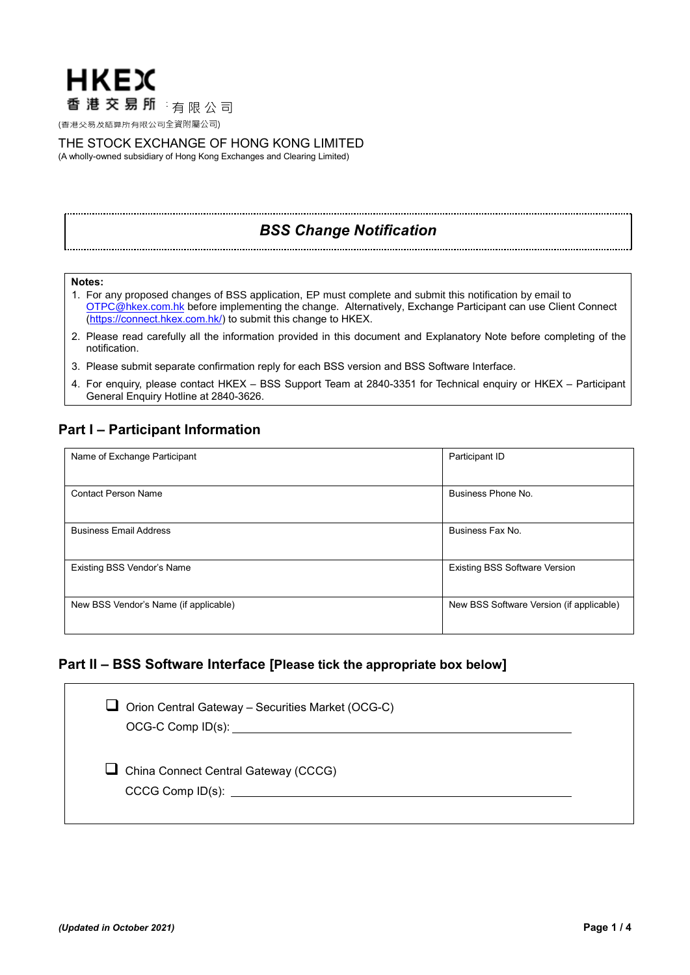

# THE STOCK EXCHANGE OF HONG KONG LIMITED

(A wholly-owned subsidiary of Hong Kong Exchanges and Clearing Limited)

# *BSS Change Notification*

# **Notes:**

- 1. For any proposed changes of BSS application, EP must complete and submit this notification by email to [OTPC@hkex.com.hk](mailto:OTPC@hkex.com.hk) before implementing the change. Alternatively, Exchange Participant can use Client Connect [\(https://connect.hkex.com.hk/\)](https://connect.hkex.com.hk/) to submit this change to HKEX.
- 2. Please read carefully all the information provided in this document and Explanatory Note before completing of the notification.
- 3. Please submit separate confirmation reply for each BSS version and BSS Software Interface.
- 4. For enquiry, please contact HKEX BSS Support Team at 2840-3351 for Technical enquiry or HKEX Participant General Enquiry Hotline at 2840-3626.

# **Part I – Participant Information**

| Name of Exchange Participant          | Participant ID                           |  |
|---------------------------------------|------------------------------------------|--|
|                                       |                                          |  |
| <b>Contact Person Name</b>            | Business Phone No.                       |  |
|                                       |                                          |  |
| <b>Business Email Address</b>         | Business Fax No.                         |  |
|                                       |                                          |  |
| Existing BSS Vendor's Name            | <b>Existing BSS Software Version</b>     |  |
|                                       |                                          |  |
| New BSS Vendor's Name (if applicable) | New BSS Software Version (if applicable) |  |
|                                       |                                          |  |

# **Part II – BSS Software Interface [Please tick the appropriate box below]**

| □ Orion Central Gateway – Securities Market (OCG-C) |  |
|-----------------------------------------------------|--|
| $\Box$ China Connect Central Gateway (CCCG)         |  |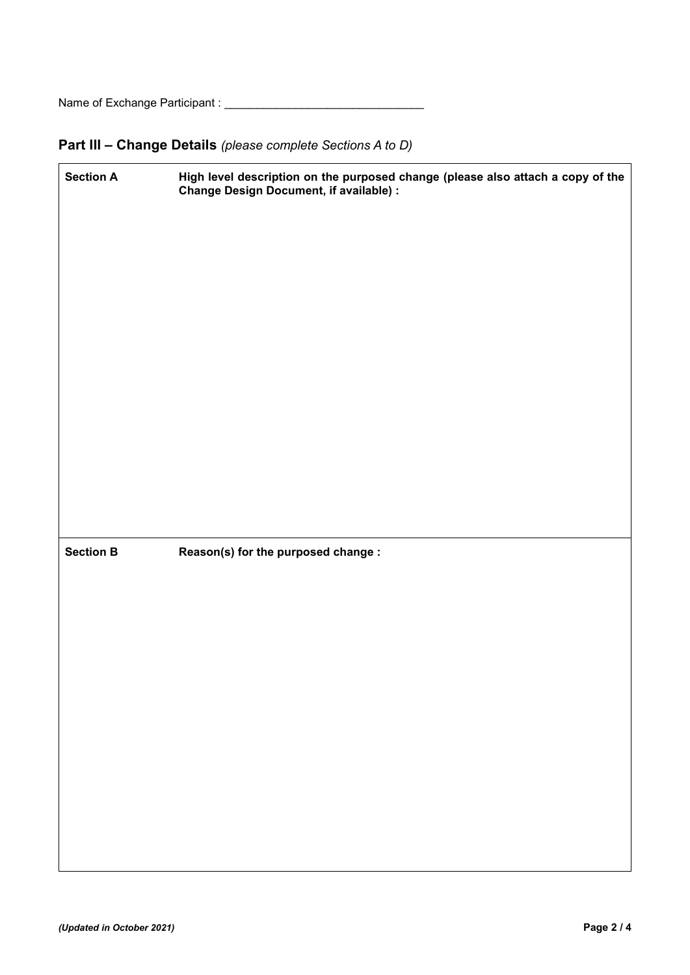Name of Exchange Participant : \_\_\_\_\_\_\_\_\_\_\_\_\_\_\_\_\_\_\_\_\_\_\_\_\_\_\_\_\_\_\_

# **Part III – Change Details** *(please complete Sections A to D)*

| <b>Section A</b> | High level description on the purposed change (please also attach a copy of the<br><b>Change Design Document, if available) :</b> |  |  |
|------------------|-----------------------------------------------------------------------------------------------------------------------------------|--|--|
|                  |                                                                                                                                   |  |  |
|                  |                                                                                                                                   |  |  |
|                  |                                                                                                                                   |  |  |
|                  |                                                                                                                                   |  |  |
|                  |                                                                                                                                   |  |  |
|                  |                                                                                                                                   |  |  |
|                  |                                                                                                                                   |  |  |
|                  |                                                                                                                                   |  |  |
|                  |                                                                                                                                   |  |  |
| <b>Section B</b> | Reason(s) for the purposed change :                                                                                               |  |  |
|                  |                                                                                                                                   |  |  |
|                  |                                                                                                                                   |  |  |
|                  |                                                                                                                                   |  |  |
|                  |                                                                                                                                   |  |  |
|                  |                                                                                                                                   |  |  |
|                  |                                                                                                                                   |  |  |
|                  |                                                                                                                                   |  |  |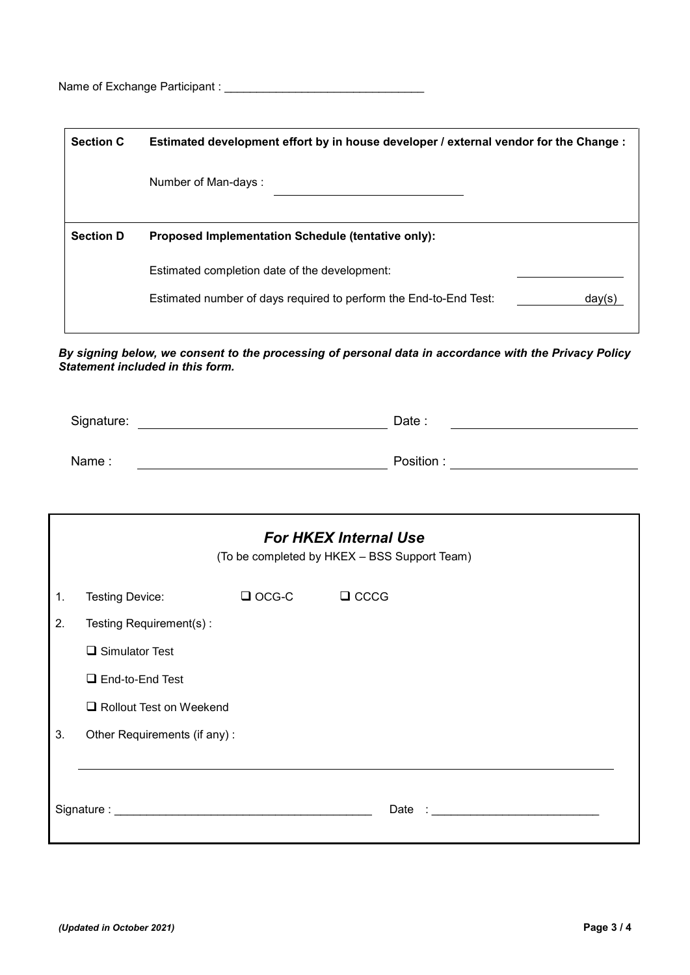Name of Exchange Participant : \_\_\_\_\_\_\_\_\_\_\_\_\_\_\_\_\_\_\_\_\_\_\_\_\_\_\_\_\_\_\_

| <b>Section C</b> | Estimated development effort by in house developer / external vendor for the Change :                                        |  |  |
|------------------|------------------------------------------------------------------------------------------------------------------------------|--|--|
|                  | Number of Man-days:                                                                                                          |  |  |
|                  |                                                                                                                              |  |  |
| <b>Section D</b> | <b>Proposed Implementation Schedule (tentative only):</b>                                                                    |  |  |
|                  | Estimated completion date of the development:<br>Estimated number of days required to perform the End-to-End Test:<br>dav(s) |  |  |

*By signing below, we consent to the processing of personal data in accordance with the Privacy Policy Statement included in this form.*

| Signature: | Date:     |
|------------|-----------|
|            |           |
| Name:      | Position: |

|    | <b>For HKEX Internal Use</b><br>(To be completed by HKEX - BSS Support Team) |              |                                                                            |  |  |  |  |
|----|------------------------------------------------------------------------------|--------------|----------------------------------------------------------------------------|--|--|--|--|
| 1. | Testing Device:                                                              | $\Box$ OCG-C | $\Box$ CCCG                                                                |  |  |  |  |
| 2. | Testing Requirement(s):                                                      |              |                                                                            |  |  |  |  |
|    | $\Box$ Simulator Test                                                        |              |                                                                            |  |  |  |  |
|    | $\Box$ End-to-End Test                                                       |              |                                                                            |  |  |  |  |
|    | Rollout Test on Weekend                                                      |              |                                                                            |  |  |  |  |
| 3. | Other Requirements (if any):                                                 |              |                                                                            |  |  |  |  |
|    |                                                                              |              |                                                                            |  |  |  |  |
|    |                                                                              |              | Date :<br><u> 1989 - Johann Harry Barn, mars ar breist fan de Fryske k</u> |  |  |  |  |